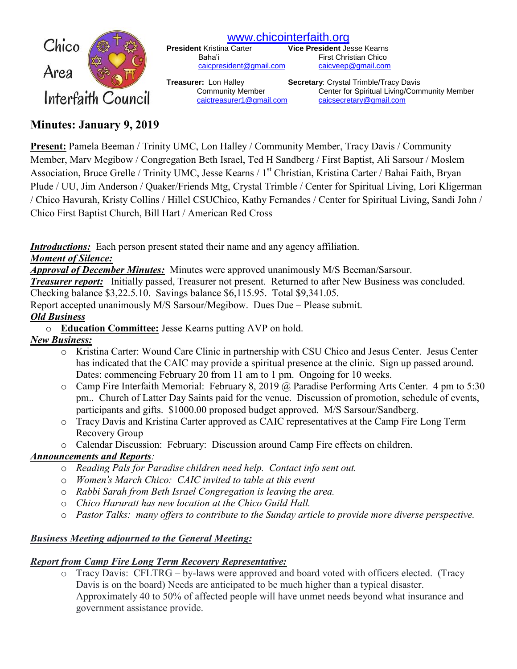

[www.chicointerfaith.org](file:///C:/Users/CSL/Downloads/www.chicointerfaith.org)<br>President Kristina Carter Vice President Je

[caicpresident@gmail.com](mailto:caicpresident@gmail.com)

**Vice President Jesse Kearns** Baha'i First Christian Chico<br>
<u>Caicpresident@gmail.com</u> caicveep@gmail.com

**Treasurer:** Lon Halley **Secretary**: Crystal Trimble/Tracy Davis Community Member Center for Spiritual Living/Community Member [caictreasurer1@gmail.com](mailto:caictreasurer1@gmail.com) [caicsecretary@gmail.com](mailto:caicsecretary@gmail.com)

## **Minutes: January 9, 2019**

**Present:** Pamela Beeman / Trinity UMC, Lon Halley / Community Member, Tracy Davis / Community Member, Marv Megibow / Congregation Beth Israel, Ted H Sandberg / First Baptist, Ali Sarsour / Moslem Association, Bruce Grelle / Trinity UMC, Jesse Kearns / 1<sup>st</sup> Christian, Kristina Carter / Bahai Faith, Bryan Plude / UU, Jim Anderson / Quaker/Friends Mtg, Crystal Trimble / Center for Spiritual Living, Lori Kligerman / Chico Havurah, Kristy Collins / Hillel CSUChico, Kathy Fernandes / Center for Spiritual Living, Sandi John / Chico First Baptist Church, Bill Hart / American Red Cross

*Introductions:* Each person present stated their name and any agency affiliation.

#### *Moment of Silence:*

*Approval of December Minutes:*Minutes were approved unanimously M/S Beeman/Sarsour.

*Treasurer report:* Initially passed, Treasurer not present. Returned to after New Business was concluded.

Checking balance \$3,22.5.10. Savings balance \$6,115.95. Total \$9,341.05.

Report accepted unanimously M/S Sarsour/Megibow. Dues Due – Please submit.

### *Old Business*

o **Education Committee:** Jesse Kearns putting AVP on hold.

## *New Business:*

- o Kristina Carter: Wound Care Clinic in partnership with CSU Chico and Jesus Center. Jesus Center has indicated that the CAIC may provide a spiritual presence at the clinic. Sign up passed around. Dates: commencing February 20 from 11 am to 1 pm. Ongoing for 10 weeks.
- $\circ$  Camp Fire Interfaith Memorial: February 8, 2019 @ Paradise Performing Arts Center. 4 pm to 5:30 pm.. Church of Latter Day Saints paid for the venue. Discussion of promotion, schedule of events, participants and gifts. \$1000.00 proposed budget approved. M/S Sarsour/Sandberg.
- o Tracy Davis and Kristina Carter approved as CAIC representatives at the Camp Fire Long Term Recovery Group
- o Calendar Discussion: February: Discussion around Camp Fire effects on children.

### *Announcements and Reports:*

- o *Reading Pals for Paradise children need help. Contact info sent out.*
- o *Women's March Chico: CAIC invited to table at this event*
- o *Rabbi Sarah from Beth Israel Congregation is leaving the area.*
- o *Chico Haruratt has new location at the Chico Guild Hall.*
- o *Pastor Talks: many offers to contribute to the Sunday article to provide more diverse perspective.*

### *Business Meeting adjourned to the General Meeting:*

# *Report from Camp Fire Long Term Recovery Representative:*

o Tracy Davis: CFLTRG – by-laws were approved and board voted with officers elected. (Tracy Davis is on the board) Needs are anticipated to be much higher than a typical disaster. Approximately 40 to 50% of affected people will have unmet needs beyond what insurance and government assistance provide.